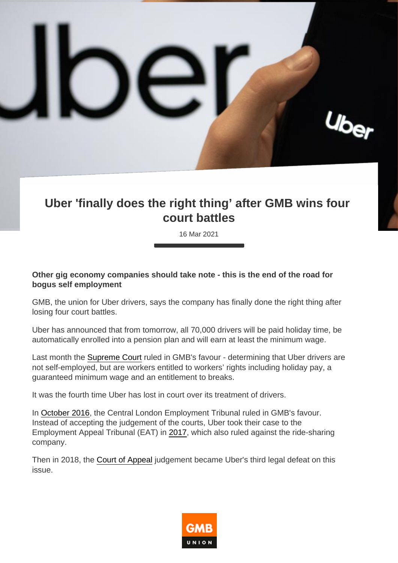## Uber 'finally does the right thing' after GMB wins four court battles

16 Mar 2021

Other gig economy companies should take note - this is the end of the road for bogus self employment

GMB, the union for Uber drivers, says the company has finally done the right thing after losing four court battles.

Uber has announced that from tomorrow, all 70,000 drivers will be paid holiday time, be automatically enrolled into a pension plan and will earn at least the minimum wage.

Last month the [Supreme Court](https://www.gmb.org.uk/news/uber-workers-rights-historic-gmb-supreme-court-drivers-legal-battle) ruled in GMB's favour - determining that Uber drivers are not self-employed, but are workers entitled to workers' rights including holiday pay, a guaranteed minimum wage and an entitlement to breaks.

It was the fourth time Uber has lost in court over its treatment of drivers.

In [October 2016](https://www.gmb.org.uk/news/monumental-victory-employment-case-against-uber), the Central London Employment Tribunal ruled in GMB's favour. Instead of accepting the judgement of the courts, Uber took their case to the Employment Appeal Tribunal (EAT) in [2017](https://www.gmb.org.uk/news/victory-uber-workers-rights), which also ruled against the ride-sharing company.

Then in 2018, the [Court of Appeal](https://www.gmb.org.uk/news/third-court-ruling-uber-drivers-are-entitled-workers-rights) judgement became Uber's third legal defeat on this issue.